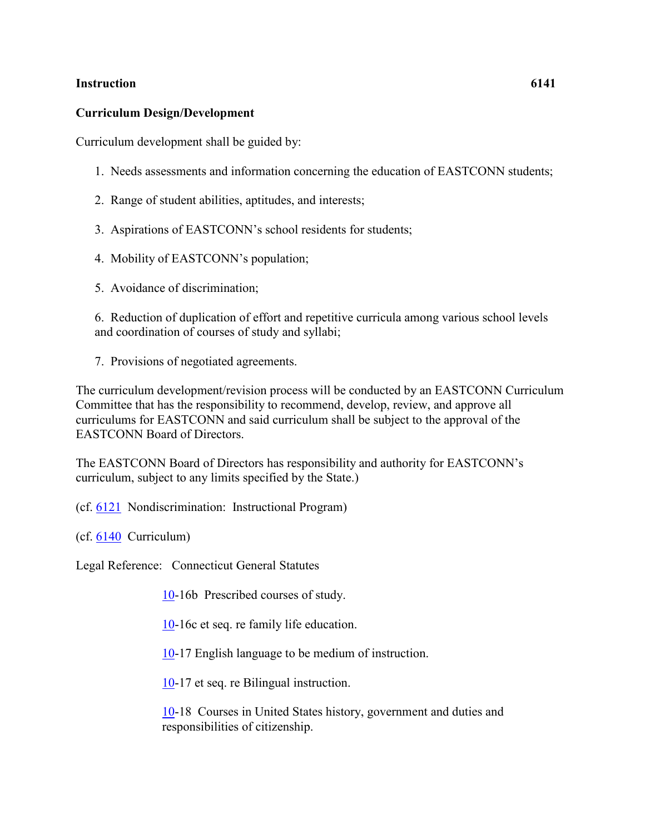## **Instruction 6141**

## **Curriculum Design/Development**

Curriculum development shall be guided by:

- 1. Needs assessments and information concerning the education of EASTCONN students;
- 2. Range of student abilities, aptitudes, and interests;
- 3. Aspirations of EASTCONN's school residents for students;
- 4. Mobility of EASTCONN's population;
- 5. Avoidance of discrimination;

6. Reduction of duplication of effort and repetitive curricula among various school levels and coordination of courses of study and syllabi;

7. Provisions of negotiated agreements.

The curriculum development/revision process will be conducted by an EASTCONN Curriculum Committee that has the responsibility to recommend, develop, review, and approve all curriculums for EASTCONN and said curriculum shall be subject to the approval of the EASTCONN Board of Directors.

The EASTCONN Board of Directors has responsibility and authority for EASTCONN's curriculum, subject to any limits specified by the State.)

(cf. [6121](http://z2policy.cabe.org/cabe/DocViewer.jsp?docid=369&z2collection=core#JD_6121) Nondiscrimination: Instructional Program)

(cf. [6140](http://z2policy.cabe.org/cabe/DocViewer.jsp?docid=371&z2collection=core#JD_6140) Curriculum)

Legal Reference: Connecticut General Statutes

[10-](http://www.cga.ct.gov/2011/pub/Title10.htm)16b Prescribed courses of study.

[10-](http://www.cga.ct.gov/2011/pub/Title10.htm)16c et seq. re family life education.

[10-](http://www.cga.ct.gov/2011/pub/Title10.htm)17 English language to be medium of instruction.

[10-](http://www.cga.ct.gov/2011/pub/Title10.htm)17 et seq. re Bilingual instruction.

[10-](http://www.cga.ct.gov/2011/pub/Title10.htm)18 Courses in United States history, government and duties and responsibilities of citizenship.